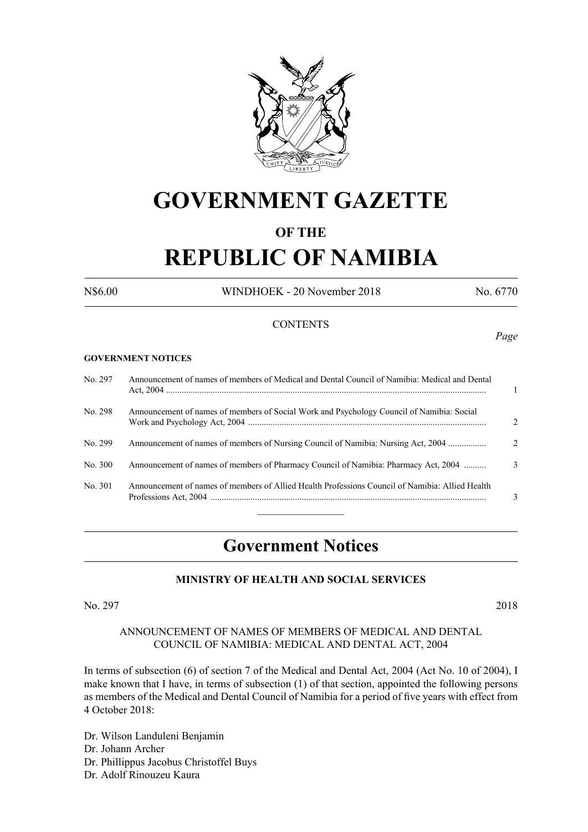

# **GOVERNMENT GAZETTE**

# **OF THE**

# **REPUBLIC OF NAMIBIA**

N\$6.00 WINDHOEK - 20 November 2018 No. 6770

*Page*

# **CONTENTS**

#### **GOVERNMENT NOTICES**

| No. 297 | Announcement of names of members of Medical and Dental Council of Namibia: Medical and Dental   |               |
|---------|-------------------------------------------------------------------------------------------------|---------------|
| No. 298 | Announcement of names of members of Social Work and Psychology Council of Namibia: Social       | $\mathcal{D}$ |
| No. 299 | Announcement of names of members of Nursing Council of Namibia: Nursing Act, 2004               | $\mathcal{D}$ |
| No. 300 | Announcement of names of members of Pharmacy Council of Namibia: Pharmacy Act, 2004             | $\mathcal{F}$ |
| No. 301 | Announcement of names of members of Allied Health Professions Council of Namibia: Allied Health | $\mathbf{R}$  |

# **Government Notices**

#### **MINISTRY OF HEALTH AND SOCIAL SERVICES**

No. 297 2018

#### ANNOUNCEMENT OF NAMES OF MEMBERS OF MEDICAL AND DENTAL COUNCIL OF NAMIBIA: MEDICAL AND DENTAL ACT, 2004

In terms of subsection (6) of section 7 of the Medical and Dental Act, 2004 (Act No. 10 of 2004), I make known that I have, in terms of subsection (1) of that section, appointed the following persons as members of the Medical and Dental Council of Namibia for a period of five years with effect from 4 October 2018:

Dr. Wilson Landuleni Benjamin Dr. Johann Archer Dr. Phillippus Jacobus Christoffel Buys Dr. Adolf Rinouzeu Kaura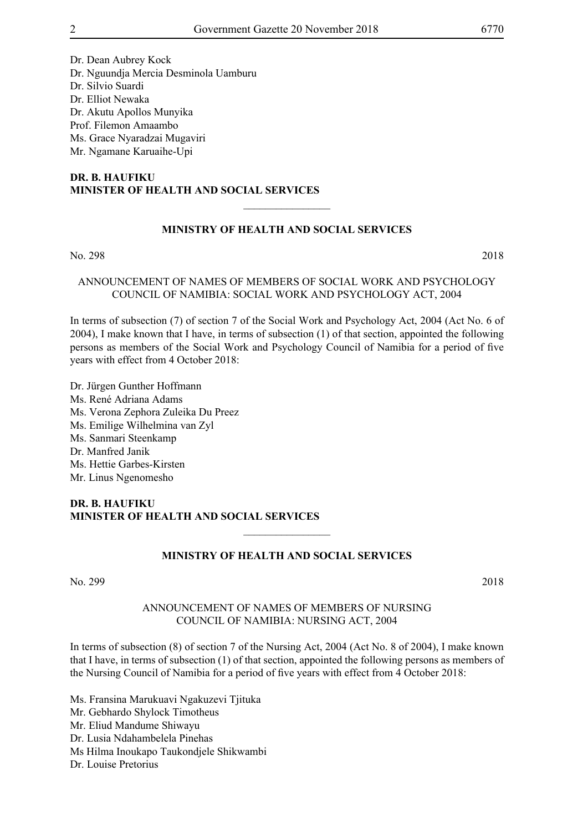Dr. Dean Aubrey Kock Dr. Nguundja Mercia Desminola Uamburu

Dr. Silvio Suardi

Dr. Elliot Newaka

Dr. Akutu Apollos Munyika

Prof. Filemon Amaambo

Ms. Grace Nyaradzai Mugaviri

Mr. Ngamane Karuaihe-Upi

### **DR. B. HAUFIKU MINISTER OF HEALTH AND SOCIAL SERVICES**

# **MINISTRY OF HEALTH AND SOCIAL SERVICES**

 $\overline{\phantom{a}}$  , where  $\overline{\phantom{a}}$ 

No. 298 2018

# ANNOUNCEMENT OF NAMES OF MEMBERS OF SOCIAL WORK AND PSYCHOLOGY COUNCIL OF NAMIBIA: SOCIAL WORK AND PSYCHOLOGY ACT, 2004

In terms of subsection (7) of section 7 of the Social Work and Psychology Act, 2004 (Act No. 6 of 2004), I make known that I have, in terms of subsection (1) of that section, appointed the following persons as members of the Social Work and Psychology Council of Namibia for a period of five years with effect from 4 October 2018:

Dr. Jürgen Gunther Hoffmann Ms. René Adriana Adams Ms. Verona Zephora Zuleika Du Preez Ms. Emilige Wilhelmina van Zyl Ms. Sanmari Steenkamp Dr. Manfred Janik Ms. Hettie Garbes-Kirsten Mr. Linus Ngenomesho

### **DR. B. HAUFIKU MINISTER OF HEALTH AND SOCIAL SERVICES**

### **MINISTRY OF HEALTH AND SOCIAL SERVICES**

 $\overline{\phantom{a}}$  , where  $\overline{\phantom{a}}$ 

No. 299 2018

### ANNOUNCEMENT OF NAMES OF MEMBERS OF NURSING COUNCIL OF NAMIBIA: NURSING ACT, 2004

In terms of subsection (8) of section 7 of the Nursing Act, 2004 (Act No. 8 of 2004), I make known that I have, in terms of subsection (1) of that section, appointed the following persons as members of the Nursing Council of Namibia for a period of five years with effect from 4 October 2018:

Ms. Fransina Marukuavi Ngakuzevi Tjituka Mr. Gebhardo Shylock Timotheus Mr. Eliud Mandume Shiwayu Dr. Lusia Ndahambelela Pinehas Ms Hilma Inoukapo Taukondjele Shikwambi Dr. Louise Pretorius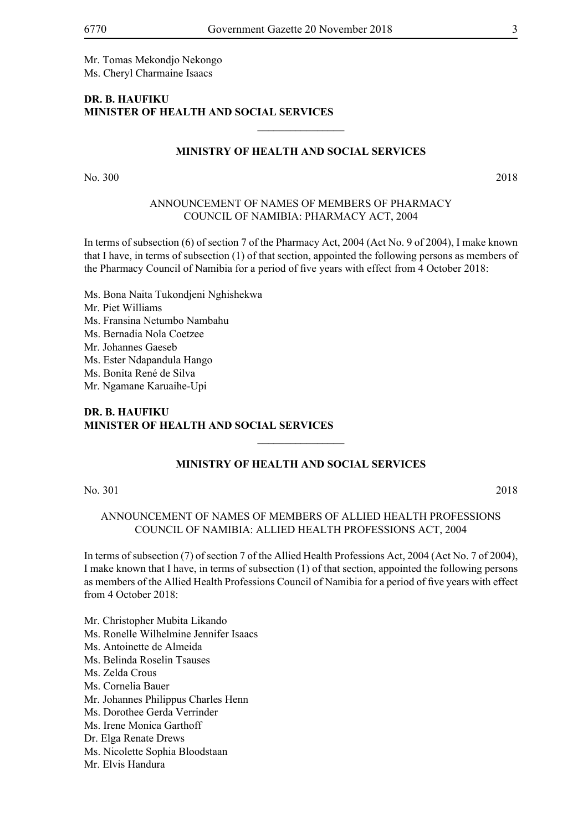Mr. Tomas Mekondjo Nekongo Ms. Cheryl Charmaine Isaacs

#### **DR. B. HAUFIKU MINISTER OF HEALTH AND SOCIAL SERVICES**

#### **MINISTRY OF HEALTH AND SOCIAL SERVICES**

 $\frac{1}{2}$ 

No. 300 2018

### ANNOUNCEMENT OF NAMES OF MEMBERS OF PHARMACY COUNCIL OF NAMIBIA: PHARMACY ACT, 2004

In terms of subsection (6) of section 7 of the Pharmacy Act, 2004 (Act No. 9 of 2004), I make known that I have, in terms of subsection (1) of that section, appointed the following persons as members of the Pharmacy Council of Namibia for a period of five years with effect from 4 October 2018:

Ms. Bona Naita Tukondjeni Nghishekwa Mr. Piet Williams Ms. Fransina Netumbo Nambahu Ms. Bernadia Nola Coetzee Mr. Johannes Gaeseb Ms. Ester Ndapandula Hango Ms. Bonita René de Silva Mr. Ngamane Karuaihe-Upi

### **DR. B. HAUFIKU MINISTER OF HEALTH AND SOCIAL SERVICES**

#### **MINISTRY OF HEALTH AND SOCIAL SERVICES**

 $\frac{1}{2}$ 

#### No. 301 2018

ANNOUNCEMENT OF NAMES OF MEMBERS OF ALLIED HEALTH PROFESSIONS COUNCIL OF NAMIBIA: ALLIED HEALTH PROFESSIONS ACT, 2004

In terms of subsection (7) of section 7 of the Allied Health Professions Act, 2004 (Act No. 7 of 2004), I make known that I have, in terms of subsection (1) of that section, appointed the following persons as members of the Allied Health Professions Council of Namibia for a period of five years with effect from 4 October 2018:

Mr. Christopher Mubita Likando

- Ms. Ronelle Wilhelmine Jennifer Isaacs
- Ms. Antoinette de Almeida
- Ms. Belinda Roselin Tsauses
- Ms. Zelda Crous
- Ms. Cornelia Bauer
- Mr. Johannes Philippus Charles Henn
- Ms. Dorothee Gerda Verrinder
- Ms. Irene Monica Garthoff
- Dr. Elga Renate Drews
- Ms. Nicolette Sophia Bloodstaan
- Mr. Elvis Handura